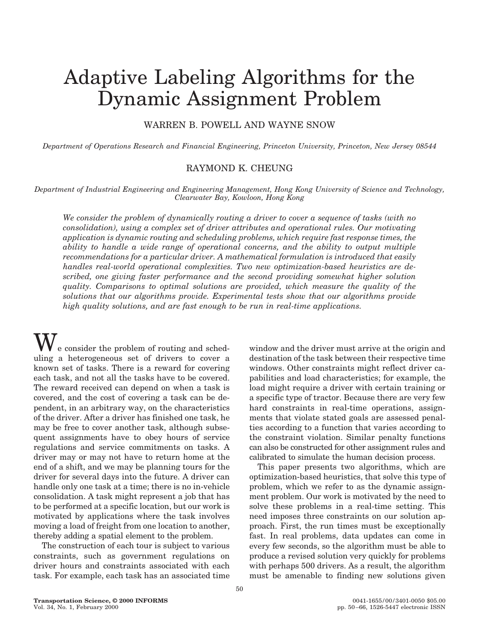# Adaptive Labeling Algorithms for the Dynamic Assignment Problem

# WARREN B. POWELL AND WAYNE SNOW

*Department of Operations Research and Financial Engineering, Princeton University, Princeton, New Jersey 08544*

# RAYMOND K. CHEUNG

*Department of Industrial Engineering and Engineering Management, Hong Kong University of Science and Technology, Clearwater Bay, Kowloon, Hong Kong*

*We consider the problem of dynamically routing a driver to cover a sequence of tasks (with no consolidation), using a complex set of driver attributes and operational rules. Our motivating application is dynamic routing and scheduling problems, which require fast response times, the ability to handle a wide range of operational concerns, and the ability to output multiple recommendations for a particular driver. A mathematical formulation is introduced that easily handles real-world operational complexities. Two new optimization-based heuristics are described, one giving faster performance and the second providing somewhat higher solution quality. Comparisons to optimal solutions are provided, which measure the quality of the solutions that our algorithms provide. Experimental tests show that our algorithms provide high quality solutions, and are fast enough to be run in real-time applications.*

e consider the problem of routing and scheduling a heterogeneous set of drivers to cover a known set of tasks. There is a reward for covering each task, and not all the tasks have to be covered. The reward received can depend on when a task is covered, and the cost of covering a task can be dependent, in an arbitrary way, on the characteristics of the driver. After a driver has finished one task, he may be free to cover another task, although subsequent assignments have to obey hours of service regulations and service commitments on tasks. A driver may or may not have to return home at the end of a shift, and we may be planning tours for the driver for several days into the future. A driver can handle only one task at a time; there is no in-vehicle consolidation. A task might represent a job that has to be performed at a specific location, but our work is motivated by applications where the task involves moving a load of freight from one location to another, thereby adding a spatial element to the problem.

The construction of each tour is subject to various constraints, such as government regulations on driver hours and constraints associated with each task. For example, each task has an associated time

window and the driver must arrive at the origin and destination of the task between their respective time windows. Other constraints might reflect driver capabilities and load characteristics; for example, the load might require a driver with certain training or a specific type of tractor. Because there are very few hard constraints in real-time operations, assignments that violate stated goals are assessed penalties according to a function that varies according to the constraint violation. Similar penalty functions can also be constructed for other assignment rules and calibrated to simulate the human decision process.

This paper presents two algorithms, which are optimization-based heuristics, that solve this type of problem, which we refer to as the dynamic assignment problem. Our work is motivated by the need to solve these problems in a real-time setting. This need imposes three constraints on our solution approach. First, the run times must be exceptionally fast. In real problems, data updates can come in every few seconds, so the algorithm must be able to produce a revised solution very quickly for problems with perhaps 500 drivers. As a result, the algorithm must be amenable to finding new solutions given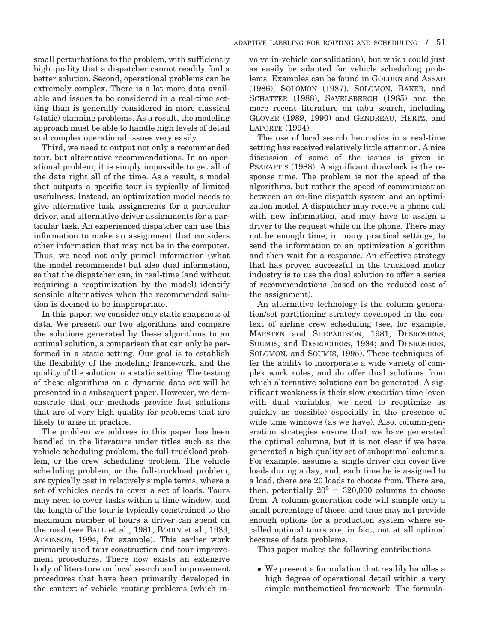small perturbations to the problem, with sufficiently high quality that a dispatcher cannot readily find a better solution. Second, operational problems can be extremely complex. There is a lot more data available and issues to be considered in a real-time setting than is generally considered in more classical (static) planning problems. As a result, the modeling approach must be able to handle high levels of detail and complex operational issues very easily.

Third, we need to output not only a recommended tour, but alternative recommendations. In an operational problem, it is simply impossible to get all of the data right all of the time. As a result, a model that outputs a specific tour is typically of limited usefulness. Instead, an optimization model needs to give alternative task assignments for a particular driver, and alternative driver assignments for a particular task. An experienced dispatcher can use this information to make an assignment that considers other information that may not be in the computer. Thus, we need not only primal information (what the model recommends) but also dual information, so that the dispatcher can, in real-time (and without requiring a reoptimization by the model) identify sensible alternatives when the recommended solution is deemed to be inappropriate.

In this paper, we consider only static snapshots of data. We present our two algorithms and compare the solutions generated by these algorithms to an optimal solution, a comparison that can only be performed in a static setting. Our goal is to establish the flexibility of the modeling framework, and the quality of the solution in a static setting. The testing of these algorithms on a dynamic data set will be presented in a subsequent paper. However, we demonstrate that our methods provide fast solutions that are of very high quality for problems that are likely to arise in practice.

The problem we address in this paper has been handled in the literature under titles such as the vehicle scheduling problem, the full-truckload problem, or the crew scheduling problem. The vehicle scheduling problem, or the full-truckload problem, are typically cast in relatively simple terms, where a set of vehicles needs to cover a set of loads. Tours may need to cover tasks within a time window, and the length of the tour is typically constrained to the maximum number of hours a driver can spend on the road (see BALL et al., 1981; BODIN et al., 1983; ATKINSON, 1994, for example). This earlier work primarily used tour construction and tour improvement procedures. There now exists an extensive body of literature on local search and improvement procedures that have been primarily developed in the context of vehicle routing problems (which involve in-vehicle consolidation), but which could just as easily be adapted for vehicle scheduling problems. Examples can be found in GOLDEN and ASSAD (1986), SOLOMON (1987), SOLOMON, BAKER, and SCHATTER (1988), SAVELSBERGH (1985) and the more recent literature on tabu search, including GLOVER (1989, 1990) and GENDREAU, HERTZ, and LAPORTE (1994).

The use of local search heuristics in a real-time setting has received relatively little attention. A nice discussion of some of the issues is given in PSARAFTIS (1988). A significant drawback is the response time. The problem is not the speed of the algorithms, but rather the speed of communication between an on-line dispatch system and an optimization model. A dispatcher may receive a phone call with new information, and may have to assign a driver to the request while on the phone. There may not be enough time, in many practical settings, to send the information to an optimization algorithm and then wait for a response. An effective strategy that has proved successful in the truckload motor industry is to use the dual solution to offer a series of recommendations (based on the reduced cost of the assignment).

An alternative technology is the column generation/set partitioning strategy developed in the context of airline crew scheduling (see, for example, MARSTEN and SHEPARDSON, 1981; DESROSIERS, SOUMIS, and DESROCHERS, 1984; and DESROSIERS, SOLOMON, and SOUMIS, 1995). These techniques offer the ability to incorporate a wide variety of complex work rules, and do offer dual solutions from which alternative solutions can be generated. A significant weakness is their slow execution time (even with dual variables, we need to reoptimize as quickly as possible) especially in the presence of wide time windows (as we have). Also, column-generation strategies ensure that we have generated the optimal columns, but it is not clear if we have generated a high quality set of suboptimal columns. For example, assume a single driver can cover five loads during a day, and, each time he is assigned to a load, there are 20 loads to choose from. There are, then, potentially  $20^5 = 320,000$  columns to choose from. A column-generation code will sample only a small percentage of these, and thus may not provide enough options for a production system where socalled optimal tours are, in fact, not at all optimal because of data problems.

This paper makes the following contributions:

• We present a formulation that readily handles a high degree of operational detail within a very simple mathematical framework. The formula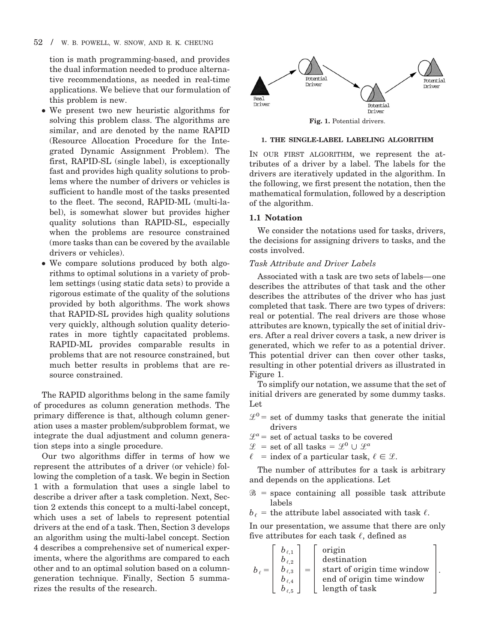tion is math programming-based, and provides the dual information needed to produce alternative recommendations, as needed in real-time applications. We believe that our formulation of this problem is new.

- We present two new heuristic algorithms for solving this problem class. The algorithms are similar, and are denoted by the name RAPID (Resource Allocation Procedure for the Integrated Dynamic Assignment Problem). The first, RAPID-SL (single label), is exceptionally fast and provides high quality solutions to problems where the number of drivers or vehicles is sufficient to handle most of the tasks presented to the fleet. The second, RAPID-ML (multi-label), is somewhat slower but provides higher quality solutions than RAPID-SL, especially when the problems are resource constrained (more tasks than can be covered by the available drivers or vehicles).
- We compare solutions produced by both algorithms to optimal solutions in a variety of problem settings (using static data sets) to provide a rigorous estimate of the quality of the solutions provided by both algorithms. The work shows that RAPID-SL provides high quality solutions very quickly, although solution quality deteriorates in more tightly capacitated problems. RAPID-ML provides comparable results in problems that are not resource constrained, but much better results in problems that are resource constrained.

The RAPID algorithms belong in the same family of procedures as column generation methods. The primary difference is that, although column generation uses a master problem/subproblem format, we integrate the dual adjustment and column generation steps into a single procedure.

Our two algorithms differ in terms of how we represent the attributes of a driver (or vehicle) following the completion of a task. We begin in Section 1 with a formulation that uses a single label to describe a driver after a task completion. Next, Section 2 extends this concept to a multi-label concept, which uses a set of labels to represent potential drivers at the end of a task. Then, Section 3 develops an algorithm using the multi-label concept. Section 4 describes a comprehensive set of numerical experiments, where the algorithms are compared to each other and to an optimal solution based on a columngeneration technique. Finally, Section 5 summarizes the results of the research.



**Fig. 1.** Potential drivers.

**1. THE SINGLE-LABEL LABELING ALGORITHM**

IN OUR FIRST ALGORITHM, we represent the attributes of a driver by a label. The labels for the drivers are iteratively updated in the algorithm. In the following, we first present the notation, then the mathematical formulation, followed by a description of the algorithm.

# **1.1 Notation**

We consider the notations used for tasks, drivers, the decisions for assigning drivers to tasks, and the costs involved.

# *Task Attribute and Driver Labels*

Associated with a task are two sets of labels—one describes the attributes of that task and the other describes the attributes of the driver who has just completed that task. There are two types of drivers: real or potential. The real drivers are those whose attributes are known, typically the set of initial drivers. After a real driver covers a task, a new driver is generated, which we refer to as a potential driver. This potential driver can then cover other tasks, resulting in other potential drivers as illustrated in Figure 1.

To simplify our notation, we assume that the set of initial drivers are generated by some dummy tasks. Let

- $\mathscr{L}^0$  = set of dummy tasks that generate the initial drivers
- $\mathcal{L}^a$  = set of actual tasks to be covered
- $\mathcal{L}$  = set of all tasks =  $\mathcal{L}^0 \cup \mathcal{L}^a$
- $\ell$  = index of a particular task,  $\ell \in \mathcal{L}$ .

The number of attributes for a task is arbitrary and depends on the applications. Let

- $\mathcal{B}$  = space containing all possible task attribute labels
- $b_{\ell}$  = the attribute label associated with task  $\ell$ .

In our presentation, we assume that there are only five attributes for each task  $\ell$ , defined as

| origin<br>$b_{\ell,1}$<br>destination<br>$0_{\ell,2}$<br>start of origin time window<br>$b_{\ell,3}$<br>end of origin time window<br>length of task |  |  |
|-----------------------------------------------------------------------------------------------------------------------------------------------------|--|--|
|-----------------------------------------------------------------------------------------------------------------------------------------------------|--|--|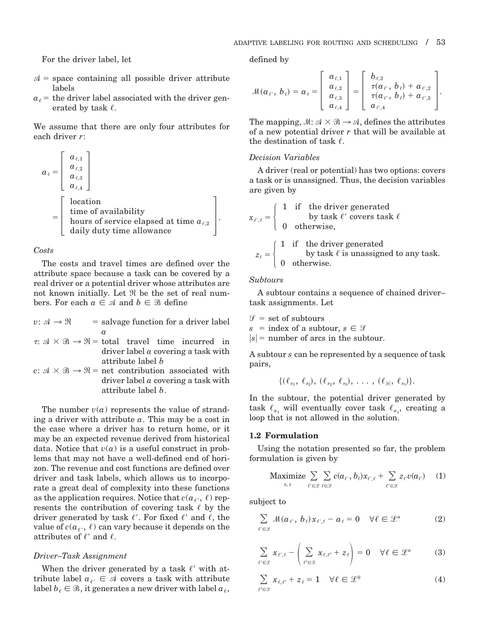For the driver label, let

- $\mathcal{A}$  = space containing all possible driver attribute labels
- $a_{\ell}$  = the driver label associated with the driver generated by task  $\ell$ .

We assume that there are only four attributes for each driver *r*:

$$
a_{\ell} = \begin{bmatrix} a_{\ell,1} \\ a_{\ell,2} \\ a_{\ell,3} \\ a_{\ell,4} \end{bmatrix}
$$
  
=\begin{bmatrix} location \\ time of availability \\ hours of service elapsed at time  $a_{\ell,2} \\ daily duty time allowed. \end{bmatrix}$ .

#### *Costs*

The costs and travel times are defined over the attribute space because a task can be covered by a real driver or a potential driver whose attributes are not known initially. Let  $\Re$  be the set of real numbers. For each  $a \in \mathcal{A}$  and  $b \in \mathcal{B}$  define

|  | $v\colon \mathcal{A}\to\mathfrak{R}$ |  |   | $=$ salvage function for a driver label                                                        |  |  |
|--|--------------------------------------|--|---|------------------------------------------------------------------------------------------------|--|--|
|  |                                      |  | a |                                                                                                |  |  |
|  |                                      |  |   | $\tau: \mathcal{A} \times \mathcal{B} \rightarrow \mathcal{B}$ = total travel time incurred in |  |  |
|  |                                      |  |   | driver label $\alpha$ covering a task with                                                     |  |  |
|  |                                      |  |   | attribute label b                                                                              |  |  |
|  |                                      |  |   | c: $\mathcal{A} \times \mathcal{B} \rightarrow \mathcal{B}$ = net contribution associated with |  |  |
|  |                                      |  |   | driver label $\alpha$ covering a task with                                                     |  |  |

attribute label *b*.

The number  $v(a)$  represents the value of stranding a driver with attribute *a*. This may be a cost in the case where a driver has to return home, or it may be an expected revenue derived from historical data. Notice that  $v(a)$  is a useful construct in problems that may not have a well-defined end of horizon. The revenue and cost functions are defined over driver and task labels, which allows us to incorporate a great deal of complexity into these functions as the application requires. Notice that  $c(a_{\ell'}, \ell)$  represents the contribution of covering task  $\ell$  by the driver generated by task  $\ell'$ . For fixed  $\ell'$  and  $\ell$ , the value of  $c(a_{\ell'}, \ell)$  can vary because it depends on the attributes of  $\ell'$  and  $\ell$ .

#### *Driver–Task Assignment*

When the driver generated by a task  $\ell'$  with attribute label  $a_{\ell} \in \mathcal{A}$  covers a task with attribute label  $b_\ell \in \mathcal{B}$ , it generates a new driver with label  $a_\ell$ ,

defined by

$$
\mathcal{M}(a_{\ell'}, b_{\ell}) = a_{\ell} = \left[\begin{array}{c}a_{\ell,1} \\ a_{\ell,2} \\ a_{\ell,3} \\ a_{\ell,4}\end{array}\right] = \left[\begin{array}{c}b_{\ell,2} \\ \tau(a_{\ell'}, b_{\ell}) + a_{\ell',2} \\ \tau(a_{\ell'}, b_{\ell}) + a_{\ell',3} \\ a_{\ell',4}\end{array}\right].
$$

The mapping,  $\mathcal{M} : \mathcal{A} \times \mathcal{B} \to \mathcal{A}$ , defines the attributes of a new potential driver *r* that will be available at the destination of task  $\ell$ .

#### *Decision Variables*

A driver (real or potential) has two options: covers a task or is unassigned. Thus, the decision variables are given by

$$
x_{\ell',\ell} = \left\{ \begin{array}{cl} 1 & \text{if} & \text{the driver generated} \\ & \text{by task } \ell' \text{ covers task } \ell \\ 0 & \text{otherwise,} \end{array} \right.
$$

 $z_{\ell} = \begin{cases} 1 & \text{if } \text{the driver generated} \\ 0 & \text{otherwise} \end{cases}$ 0 otherwise.

# *Subtours*

A subtour contains a sequence of chained driver– task assignments. Let

by task  $\ell$  is unassigned to any task.

- $\mathcal{G}$  = set of subtours
- $s = \text{index of a subtour}, s \in \mathcal{G}$
- $|s|$  = number of arcs in the subtour.

A subtour *s* can be represented by a sequence of task pairs,

$$
\{(\ell_{s_1},\ell_{s_2}),\,(\ell_{s_2},\ell_{s_3}),\,\ldots\,,\,(\ell_{|s|},\,\ell_{s_1})\}.
$$

In the subtour, the potential driver generated by task  $\ell_{s_1}$  will eventually cover task  $\ell_{s_1}$ , creating a loop that is not allowed in the solution.

## **1.2 Formulation**

Using the notation presented so far, the problem formulation is given by

$$
\underset{x,z}{\text{Maximize}} \sum_{\ell' \in \mathcal{L}} \sum_{\ell \in \mathcal{L}} c(a_{\ell'},b_{\ell})x_{\ell',\ell} + \sum_{\ell' \in \mathcal{L}} z_{\ell'}v(a_{\ell'}) \quad (1)
$$

subject to

$$
\sum_{\ell' \in \mathcal{L}} \mathcal{M}(a_{\ell'}, b_{\ell}) x_{\ell', \ell} - a_{\ell} = 0 \quad \forall \ell \in \mathcal{L}^a \tag{2}
$$

$$
\sum_{\ell' \in \mathcal{L}} x_{\ell',\ell} - \left(\sum_{\ell'' \in \mathcal{L}} x_{\ell,\ell''} + z_{\ell}\right) = 0 \quad \forall \ell \in \mathcal{L}^a \tag{3}
$$

$$
\sum_{\ell'' \in \mathcal{L}} x_{\ell,\ell''} + z_{\ell} = 1 \quad \forall \ell \in \mathcal{L}^0 \tag{4}
$$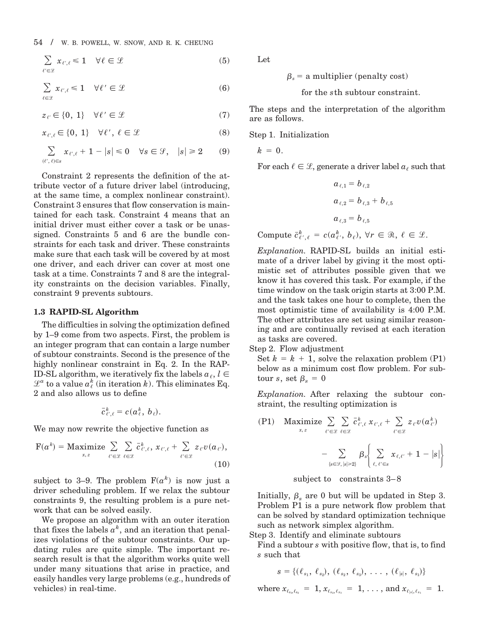#### 54 / W. B. POWELL, W. SNOW, AND R. K. CHEUNG

$$
\sum_{\ell' \in \mathcal{L}} x_{\ell',\ell} \leq 1 \quad \forall \ell \in \mathcal{L}
$$
 (5)

$$
\sum_{\ell \in \mathcal{L}} x_{\ell',\ell} \leq 1 \quad \forall \ell' \in \mathcal{L}
$$
 (6)

$$
z_{\ell'} \in \{0, 1\} \quad \forall \ell' \in \mathcal{L} \tag{7}
$$

$$
x_{\ell',\ell} \in \{0, 1\} \quad \forall \ell', \ \ell \in \mathcal{L} \tag{8}
$$

$$
\sum_{(\ell',\ell)\in s} x_{\ell',\ell} + 1 - |s| \le 0 \quad \forall s \in \mathcal{G}, \quad |s| \ge 2 \tag{9}
$$

Constraint 2 represents the definition of the attribute vector of a future driver label (introducing, at the same time, a complex nonlinear constraint). Constraint 3 ensures that flow conservation is maintained for each task. Constraint 4 means that an initial driver must either cover a task or be unassigned. Constraints 5 and 6 are the bundle constraints for each task and driver. These constraints make sure that each task will be covered by at most one driver, and each driver can cover at most one task at a time. Constraints 7 and 8 are the integrality constraints on the decision variables. Finally, constraint 9 prevents subtours.

#### **1.3 RAPID-SL Algorithm**

The difficulties in solving the optimization defined by 1–9 come from two aspects. First, the problem is an integer program that can contain a large number of subtour constraints. Second is the presence of the highly nonlinear constraint in Eq. 2. In the RAP-ID-SL algorithm, we iteratively fix the labels  $a_{\ell}$ ,  $l \in$  $\mathcal{L}^a$  to a value  $a_\ell^k$  (in iteration *k*). This eliminates Eq. 2 and also allows us to define

$$
\bar{c}_{\ell',\ell}^k = c(a_\ell^k, b_\ell).
$$

We may now rewrite the objective function as

$$
\mathbf{F}(a^k) = \underset{x,z}{\text{Maximize}} \sum_{\ell' \in \mathcal{L}} \sum_{\ell \in \mathcal{L}} \bar{c}^k_{\ell',\ell}, \, x_{\ell',\ell} + \sum_{\ell' \in \mathcal{L}} z_{\ell'} v(a_{\ell'}),
$$
\n(10)

subject to 3–9. The problem  $F(a^k)$  is now just a driver scheduling problem. If we relax the subtour constraints 9, the resulting problem is a pure network that can be solved easily.

We propose an algorithm with an outer iteration that fixes the labels  $a^k$ , and an iteration that penalizes violations of the subtour constraints. Our updating rules are quite simple. The important research result is that the algorithm works quite well under many situations that arise in practice, and easily handles very large problems (e.g., hundreds of vehicles) in real-time.

Let

 $\beta_s$  = a multiplier (penalty cost)

for the *s*th subtour constraint.

The steps and the interpretation of the algorithm are as follows.

Step 1. Initialization

 $k = 0$ .

For each  $\ell \in \mathcal{L}$ , generate a driver label  $a_{\ell}$  such that

$$
a_{\ell,1} = b_{\ell,2}
$$
  
\n
$$
a_{\ell,2} = b_{\ell,3} + b_{\ell,5}
$$
  
\n
$$
a_{\ell,3} = b_{\ell,5}
$$

Compute  $\bar{c}_{\ell',\ell}^k = c(a_{\ell'}^k, b_{\ell}), \forall r \in \mathcal{R}, \ell \in \mathcal{L}.$ 

*Explanation.* RAPID-SL builds an initial estimate of a driver label by giving it the most optimistic set of attributes possible given that we know it has covered this task. For example, if the time window on the task origin starts at 3:00 P.M. and the task takes one hour to complete, then the most optimistic time of availability is 4:00 P.M. The other attributes are set using similar reasoning and are continually revised at each iteration as tasks are covered.

Step 2. Flow adjustment

Set  $k = k + 1$ , solve the relaxation problem (P1) below as a minimum cost flow problem. For subtour *s*, set  $\beta_s = 0$ 

*Explanation.* After relaxing the subtour constraint, the resulting optimization is

$$
\begin{aligned} \text{(P1)} \quad \text{Maximize} \sum_{x,z} \sum_{\ell' \in \mathcal{L}} \bar{c}^k_{\ell',\ell} \, x_{\ell',\ell} + \sum_{\ell' \in \mathcal{L}} z_{\ell'} v(a^k_{\ell'}) \\ &- \sum_{\{s \in \mathcal{G}, |s| \geq 2\}} \beta_s \Bigg\{ \sum_{\ell, \ell' \in s} x_{\ell,\ell'} + 1 - |s| \Bigg\} \end{aligned}
$$

subject to constraints 3– 8

Initially,  $\beta_s$  are 0 but will be updated in Step 3. Problem P1 is a pure network flow problem that can be solved by standard optimization technique such as network simplex algorithm.

Step 3. Identify and eliminate subtours

Find a subtour *s* with positive flow, that is, to find *s* such that

$$
s = \{(\ell_{s_1}, \ell_{s_2}), (\ell_{s_2}, \ell_{s_3}), \ldots, (\ell_{|s|}, \ell_{s_1})\}
$$

$$
\text{ where } x_{\ell_{s_1},\ell_{s_2}} = 1 \text{, } x_{\ell_{s_2},\ell_{s_3}} = 1 \text{, } \dots \text{, and } x_{\ell_{|s|},\ell_{s_1}} = 1 \text{.}
$$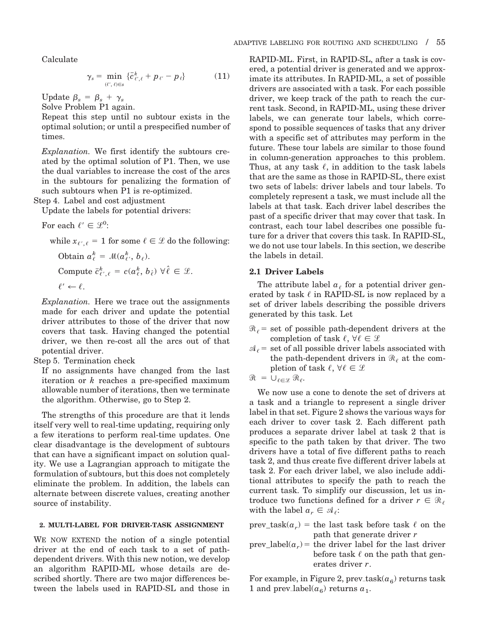Calculate

$$
\gamma_s = \min_{(\ell',\ell) \in s} \left\{ \bar{c}^k_{\ell',\ell} + p_{\ell'} - p_{\ell} \right\} \tag{11}
$$

Update  $\beta_s = \beta_s + \gamma_s$ 

Solve Problem P1 again.

Repeat this step until no subtour exists in the optimal solution; or until a prespecified number of times.

*Explanation.* We first identify the subtours created by the optimal solution of P1. Then, we use the dual variables to increase the cost of the arcs in the subtours for penalizing the formation of such subtours when P1 is re-optimized.

Step 4. Label and cost adjustment

Update the labels for potential drivers:

For each  $\ell' \in \mathcal{L}^0$ :

while  $x_{\ell',\ell} = 1$  for some  $\ell \in \mathcal{L}$  do the following:

Obtain 
$$
a_{\ell}^{k} = M(a_{\ell}^{k}, b_{\ell})
$$
.  
Compute  $\bar{c}_{\ell',\ell}^{k} = c(a_{\ell}^{k}, b_{\ell}) \ \forall \ell \in \mathcal{L}$ .  
 $\ell' \leftarrow \ell$ .

*Explanation.* Here we trace out the assignments made for each driver and update the potential driver attributes to those of the driver that now covers that task. Having changed the potential driver, we then re-cost all the arcs out of that potential driver.

Step 5. Termination check

If no assignments have changed from the last iteration or *k* reaches a pre-specified maximum allowable number of iterations, then we terminate the algorithm. Otherwise, go to Step 2.

The strengths of this procedure are that it lends itself very well to real-time updating, requiring only a few iterations to perform real-time updates. One clear disadvantage is the development of subtours that can have a significant impact on solution quality. We use a Lagrangian approach to mitigate the formulation of subtours, but this does not completely eliminate the problem. In addition, the labels can alternate between discrete values, creating another source of instability.

# **2. MULTI-LABEL FOR DRIVER-TASK ASSIGNMENT**

WE NOW EXTEND the notion of a single potential driver at the end of each task to a set of pathdependent drivers. With this new notion, we develop an algorithm RAPID-ML whose details are described shortly. There are two major differences between the labels used in RAPID-SL and those in RAPID-ML. First, in RAPID-SL, after a task is covered, a potential driver is generated and we approximate its attributes. In RAPID-ML, a set of possible drivers are associated with a task. For each possible driver, we keep track of the path to reach the current task. Second, in RAPID-ML, using these driver labels, we can generate tour labels, which correspond to possible sequences of tasks that any driver with a specific set of attributes may perform in the future. These tour labels are similar to those found in column-generation approaches to this problem. Thus, at any task  $\ell$ , in addition to the task labels that are the same as those in RAPID-SL, there exist two sets of labels: driver labels and tour labels. To completely represent a task, we must include all the labels at that task. Each driver label describes the past of a specific driver that may cover that task. In contrast, each tour label describes one possible future for a driver that covers this task. In RAPID-SL, we do not use tour labels. In this section, we describe the labels in detail.

# **2.1 Driver Labels**

The attribute label  $a_{\ell}$  for a potential driver generated by task  $\ell$  in RAPID-SL is now replaced by a set of driver labels describing the possible drivers generated by this task. Let

- $\Re$ <sub>e</sub> = set of possible path-dependent drivers at the completion of task  $\ell, \forall \ell \in \mathcal{L}$
- $\mathcal{A}_\ell$  = set of all possible driver labels associated with the path-dependent drivers in  $\Re$ <sub>e</sub> at the completion of task  $\ell, \forall \ell \in \mathcal{L}$

$$
\mathcal{R} = \cup_{\ell \in \mathcal{L}} \mathcal{R}_{\ell}.
$$

We now use a cone to denote the set of drivers at a task and a triangle to represent a single driver label in that set. Figure 2 shows the various ways for each driver to cover task 2. Each different path produces a separate driver label at task 2 that is specific to the path taken by that driver. The two drivers have a total of five different paths to reach task 2, and thus create five different driver labels at task 2. For each driver label, we also include additional attributes to specify the path to reach the current task. To simplify our discussion, let us introduce two functions defined for a driver  $r \in \Re$ <sub>e</sub> with the label  $a_r \in \mathcal{A}_\ell$ :

- $prev\_task(a_r) =$  the last task before task  $\ell$  on the path that generate driver *r*
- prev\_label( $a_r$ ) = the driver label for the last driver before task  $\ell$  on the path that generates driver *r*.

For example, in Figure 2, prev\_task( $a_6$ ) returns task 1 and prev\_label( $a_6$ ) returns  $a_1$ .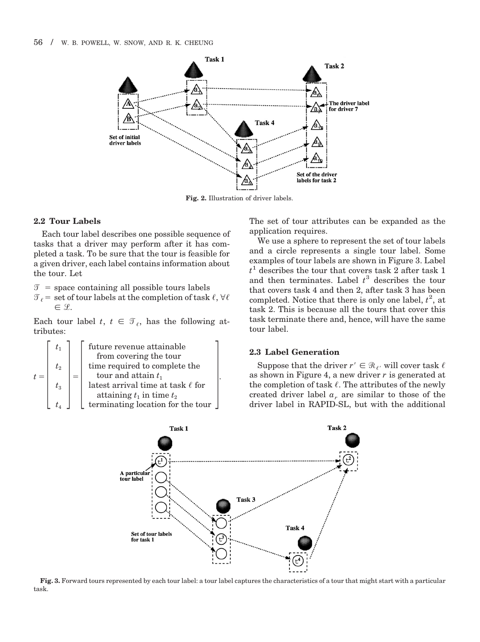

**Fig. 2.** Illustration of driver labels.

# **2.2 Tour Labels**

Each tour label describes one possible sequence of tasks that a driver may perform after it has completed a task. To be sure that the tour is feasible for a given driver, each label contains information about the tour. Let

 $\mathcal{T}$  = space containing all possible tours labels

 $\mathcal{T}_\ell = \mathop{\rm set}\nolimits$  of tour labels at the completion of task  $\ell, \, \forall \ell$  $\in \mathcal{L}.$ 

Each tour label  $t, t \in \mathcal{T}_{\ell}$ , has the following attributes:



The set of tour attributes can be expanded as the application requires.

We use a sphere to represent the set of tour labels and a circle represents a single tour label. Some examples of tour labels are shown in Figure 3. Label *t* <sup>1</sup> describes the tour that covers task 2 after task 1 and then terminates. Label  $t^3$  describes the tour that covers task 4 and then 2, after task 3 has been completed. Notice that there is only one label,  $t^2$ , at task 2. This is because all the tours that cover this task terminate there and, hence, will have the same tour label.

## **2.3 Label Generation**

Suppose that the driver  $r' \in \Re_{\ell'}$  will cover task  $\ell$ as shown in Figure 4, a new driver *r* is generated at the completion of task  $\ell$ . The attributes of the newly created driver label  $a_r$  are similar to those of the driver label in RAPID-SL, but with the additional



**Fig. 3.** Forward tours represented by each tour label: a tour label captures the characteristics of a tour that might start with a particular task.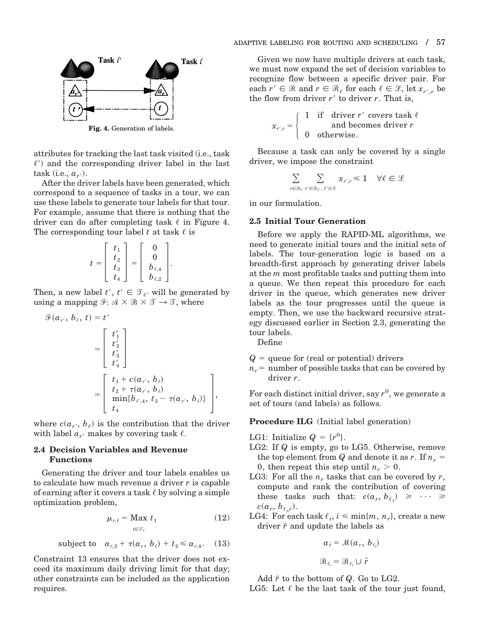

**Fig. 4.** Generation of labels.

attributes for tracking the last task visited (i.e., task  $\ell'$  and the corresponding driver label in the last task  $(i.e., a_{n})$ .

After the driver labels have been generated, which correspond to a sequence of tasks in a tour, we can use these labels to generate tour labels for that tour. For example, assume that there is nothing that the driver can do after completing task  $\ell$  in Figure 4. The corresponding tour label  $t$  at task  $\ell$  is

$$
t = \left[\begin{array}{c} t_1 \\ t_2 \\ t_3 \\ t_4 \end{array}\right] = \left[\begin{array}{c} 0 \\ 0 \\ b_{\ell,4} \\ b_{\ell,2} \end{array}\right].
$$

Then, a new label  $t'$ ,  $t' \in \mathcal{T}_{\ell'}$  will be generated by using a mapping  $\mathcal{F}: \mathcal{A} \times \mathcal{B} \times \mathcal{T} \rightarrow \mathcal{T}$ , where

$$
\mathcal{F}(a_{r'}, b_{\ell}, t) = t'
$$
\n
$$
= \begin{bmatrix} t'_{1} \\ t'_{2} \\ t'_{3} \\ t'_{4} \end{bmatrix}
$$
\n
$$
= \begin{bmatrix} t_{1} + c(a_{r'}, b_{\ell}) \\ t_{2} + \tau(a_{r'}, b_{\ell}) \\ \min\{b_{\ell',4}, t_{3} - \tau(a_{r'}, b_{\ell})\} \\ t_{4} \end{bmatrix},
$$

where  $c(a_{r'}, b_{\ell})$  is the contribution that the driver with label  $a_{r'}$  makes by covering task  $\ell$ .

# **2.4 Decision Variables and Revenue Functions**

Generating the driver and tour labels enables us to calculate how much revenue a driver *r* is capable of earning after it covers a task  $\ell$  by solving a simple optimization problem,

$$
\mu_{r,\ell} = \max_{t \in \mathcal{T}_{\ell}} t_1 \tag{12}
$$

subject to 
$$
a_{r,3} + \tau(a_r, b_\ell) + t_2 \le a_{r,4}
$$
. (13)

Constraint 13 ensures that the driver does not exceed its maximum daily driving limit for that day; other constraints can be included as the application requires.

Given we now have multiple drivers at each task, we must now expand the set of decision variables to recognize flow between a specific driver pair. For  $\text{each } r' \in \mathcal{R} \text{ and } r \in \mathcal{R}_{\ell} \text{ for each } \ell \in \mathcal{L} \text{, let } x_{r',r} \text{ be }$ the flow from driver  $r'$  to driver  $r$ . That is,

$$
x_{r',r} = \left\{ \begin{array}{cl} 1 & \text{if} & \text{driver } r' \text{ covers task } \ell \\ & \text{and becomes driver } r \\ 0 & \text{otherwise.} \end{array} \right.
$$

Because a task can only be covered by a single driver, we impose the constraint

$$
\sum_{r \in \mathcal{R}_{\ell}} \sum_{r' \in \mathcal{R}_{\ell'}, \ell' \in \mathcal{L}} x_{r',r} \leq 1 \quad \forall \ell \in \mathcal{L}
$$

in our formulation.

# **2.5 Initial Tour Generation**

Before we apply the RAPID-ML algorithms, we need to generate initial tours and the initial sets of labels. The tour-generation logic is based on a breadth-first approach by generating driver labels at the *m* most profitable tasks and putting them into a queue. We then repeat this procedure for each driver in the queue, which generates new driver labels as the tour progresses until the queue is empty. Then, we use the backward recursive strategy discussed earlier in Section 2.3, generating the tour labels.

Define

- $Q =$  queue for (real or potential) drivers
- $n_r$  = number of possible tasks that can be covered by driver *r*.

For each distinct initial driver, say  $r^0$ , we generate a set of tours (and labels) as follows.

**Procedure ILG** (Initial label generation)

LG1: Initialize  $Q = \{r^0\}.$ 

- LG2: If *Q* is empty, go to LG5. Otherwise, remove the top element from *Q* and denote it as *r*. If  $n_r =$ 0, then repeat this step until  $n_r > 0$ .
- LG3: For all the  $n_r$  tasks that can be covered by  $r$ , compute and rank the contribution of covering these tasks such that:  $c(a_r, b_{\ell_1}) \geq \cdots \geq$  $c(a_r, b_{\ell_n r}).$
- LG4: For each task  $\ell_i$ ,  $i \leq \min\{m, n_r\}$ , create a new driver *rˆ* and update the labels as

$$
a_{\hat{r}} = \mathcal{M}(a_r, b_{\ell_i})
$$

$$
\mathfrak{R}_{\ell_i} = \mathfrak{R}_{\ell_i} \cup \hat{r}
$$

Add *rˆ* to the bottom of *Q*. Go to LG2.

LG5: Let  $\ell$  be the last task of the tour just found,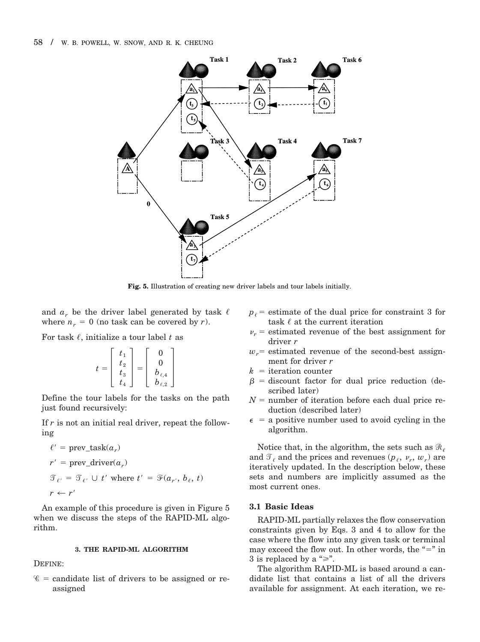

**Fig. 5.** Illustration of creating new driver labels and tour labels initially.

and  $a_r$  be the driver label generated by task  $\ell$ where  $n_r = 0$  (no task can be covered by *r*).

For task  $\ell$ , initialize a tour label  $t$  as

$$
t = \left[\begin{array}{c} t_1 \\ t_2 \\ t_3 \\ t_4 \end{array}\right] = \left[\begin{array}{c} 0 \\ 0 \\ b_{\ell,4} \\ b_{\ell,2} \end{array}\right]
$$

Define the tour labels for the tasks on the path just found recursively:

If *r* is not an initial real driver, repeat the following

$$
\ell' = \text{prev\_task}(a_r)
$$
  
\n
$$
r' = \text{prev\_driver}(a_r)
$$
  
\n
$$
\mathcal{T}_{\ell'} = \mathcal{T}_{\ell'} \cup t' \text{ where } t' = \mathcal{F}(a_{r'}, b_{\ell}, t)
$$
  
\n
$$
r \leftarrow r'
$$

An example of this procedure is given in Figure 5 when we discuss the steps of the RAPID-ML algorithm.

## **3. THE RAPID-ML ALGORITHM**

DEFINE:

 $\mathscr{C}$  = candidate list of drivers to be assigned or reassigned

- $p_{\ell}$  = estimate of the dual price for constraint 3 for task  $\ell$  at the current iteration
- $\nu_r$  = estimated revenue of the best assignment for driver *r*
- $w_r$  estimated revenue of the second-best assignment for driver *r*
- $k =$ iteration counter
- $\beta$  = discount factor for dual price reduction (described later)
- $N =$  number of iteration before each dual price reduction (described later)
- $\epsilon$  = a positive number used to avoid cycling in the algorithm.

Notice that, in the algorithm, the sets such as  $\mathcal{R}_{\ell}$ and  $\mathcal{T}_{\ell}$  and the prices and revenues  $(p_{\ell}, v_r, w_r)$  are iteratively updated. In the description below, these sets and numbers are implicitly assumed as the most current ones.

# **3.1 Basic Ideas**

RAPID-ML partially relaxes the flow conservation constraints given by Eqs. 3 and 4 to allow for the case where the flow into any given task or terminal may exceed the flow out. In other words, the " $=$ " in 3 is replaced by a " $\geq$ ".

The algorithm RAPID-ML is based around a candidate list that contains a list of all the drivers available for assignment. At each iteration, we re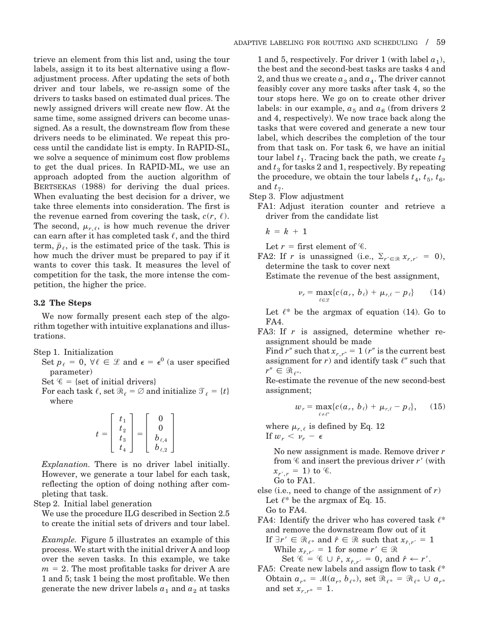trieve an element from this list and, using the tour labels, assign it to its best alternative using a flowadjustment process. After updating the sets of both driver and tour labels, we re-assign some of the drivers to tasks based on estimated dual prices. The newly assigned drivers will create new flow. At the same time, some assigned drivers can become unassigned. As a result, the downstream flow from these drivers needs to be eliminated. We repeat this process until the candidate list is empty. In RAPID-SL, we solve a sequence of minimum cost flow problems to get the dual prices. In RAPID-ML, we use an approach adopted from the auction algorithm of BERTSEKAS (1988) for deriving the dual prices. When evaluating the best decision for a driver, we take three elements into consideration. The first is the revenue earned from covering the task,  $c(r, \ell)$ . The second,  $\mu_{r,\ell}$ , is how much revenue the driver can earn after it has completed task  $\ell$ , and the third term,  $\bar{p}_\ell$ , is the estimated price of the task. This is how much the driver must be prepared to pay if it wants to cover this task. It measures the level of competition for the task, the more intense the competition, the higher the price.

# **3.2 The Steps**

We now formally present each step of the algorithm together with intuitive explanations and illustrations.

Step 1. Initialization

Set  $p_{\ell} = 0$ ,  $\forall \ell \in \mathcal{L}$  and  $\epsilon = \epsilon^0$  (a user specified parameter)

Set  $\mathscr{C} = \{$ set of initial drivers $\}$ 

For each task  $\ell$ , set  $\Re_{\ell} = \emptyset$  and initialize  $\mathcal{T}_{\ell} = \{t\}$ where

$$
t = \left[\begin{array}{c} t_1 \\ t_2 \\ t_3 \\ t_4 \end{array}\right] = \left[\begin{array}{c} 0 \\ 0 \\ b_{\ell,4} \\ b_{\ell,2} \end{array}\right]
$$

*Explanation.* There is no driver label initially. However, we generate a tour label for each task, reflecting the option of doing nothing after completing that task.

Step 2. Initial label generation

We use the procedure ILG described in Section 2.5 to create the initial sets of drivers and tour label.

*Example.* Figure 5 illustrates an example of this process. We start with the initial driver A and loop over the seven tasks. In this example, we take  $m = 2$ . The most profitable tasks for driver A are 1 and 5; task 1 being the most profitable. We then generate the new driver labels  $a_1$  and  $a_2$  at tasks

1 and 5, respectively. For driver 1 (with label  $a_1$ ), the best and the second-best tasks are tasks 4 and 2, and thus we create  $a_3$  and  $a_4$ . The driver cannot feasibly cover any more tasks after task 4, so the tour stops here. We go on to create other driver labels: in our example,  $a_5$  and  $a_6$  (from drivers 2) and 4, respectively). We now trace back along the tasks that were covered and generate a new tour label, which describes the completion of the tour from that task on. For task 6, we have an initial tour label  $t_1$ . Tracing back the path, we create  $t_2$ and  $t_3$  for tasks 2 and 1, respectively. By repeating the procedure, we obtain the tour labels  $t_4$ ,  $t_5$ ,  $t_6$ , and  $t_7$ .

Step 3. Flow adjustment

FA1: Adjust iteration counter and retrieve a driver from the candidate list

$$
k = k + 1
$$

Let  $r =$  first element of  $\mathscr{C}$ .

FA2: If *r* is unassigned (i.e.,  $\Sigma_{r' \in \mathcal{R}} x_{r,r'} = 0$ ), determine the task to cover next

Estimate the revenue of the best assignment,

$$
\nu_r = \max_{\ell \in \mathcal{L}} \{ c(a_r, \, b_\ell) + \mu_{r,\ell} - p_\ell \} \qquad (14)
$$

Let  $\ell^*$  be the argmax of equation (14). Go to FA4.

FA3: If *r* is assigned, determine whether reassignment should be made

Find  $r''$  such that  $x_{r,r''}=1$  ( $r''$  is the current best assignment for  $r$ ) and identify task  $\ell''$  such that  $r'' \in \Re_{\ell''}.$ 

Re-estimate the revenue of the new second-best assignment;

$$
w_r = \max_{\ell \neq \ell'} \{c(a_r, b_\ell) + \mu_{r,\ell} - p_\ell\}, \quad (15)
$$

where  $\mu_{r,\,\ell}$  is defined by Eq. 12

If  $w_r < v_r - \epsilon$ 

No new assignment is made. Remove driver *r* from  $\mathscr C$  and insert the previous driver  $r'$  (with  $x_{r}$ ,  $= 1$ ) to  $\mathscr{C}$ .

- Go to FA1.
- else (i.e., need to change of the assignment of *r*) Let  $\ell^*$  be the argmax of Eq. 15. Go to FA4.

FA4: Identify the driver who has covered task  $\ell^*$ and remove the downstream flow out of it

If  $\exists r' \in \mathcal{R}_{\ell^*}$  and  $\hat{r} \in \mathcal{R}$  such that  $x_{\hat{r},r'} = 1$ While  $x_{\hat{r},r'} = 1$  for some  $r' \in \Re$ 

Set 
$$
\mathscr{C} = \mathscr{C} \cup \hat{r}
$$
,  $x_{\hat{r},r'} = 0$ , and  $\hat{r} \leftarrow r'$ .

FA5: Create new labels and assign flow to task  $\ell^*$ Obtain  $a_{r^*} = M(a_r, b_{\ell^*})$ , set  $\Re_{\ell^*} = \Re_{\ell^*} \cup a_{r^*}$ and set  $x_{r,r^*} = 1$ .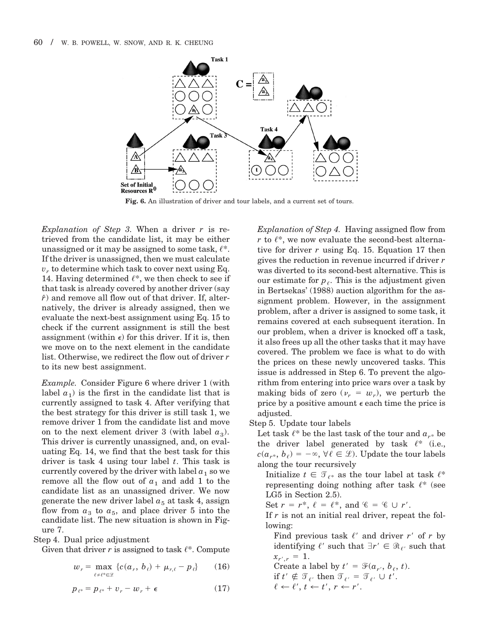

**Fig. 6.** An illustration of driver and tour labels, and a current set of tours.

*Explanation of Step 3.* When a driver *r* is retrieved from the candidate list, it may be either unassigned or it may be assigned to some task,  $\ell^*.$ If the driver is unassigned, then we must calculate  $v_r$  to determine which task to cover next using Eq. 14. Having determined  $\ell^*$ , we then check to see if that task is already covered by another driver (say *rˆ*) and remove all flow out of that driver. If, alternatively, the driver is already assigned, then we evaluate the next-best assignment using Eq. 15 to check if the current assignment is still the best assignment (within  $\epsilon$ ) for this driver. If it is, then we move on to the next element in the candidate list. Otherwise, we redirect the flow out of driver *r* to its new best assignment.

*Example.* Consider Figure 6 where driver 1 (with label  $a_1$ ) is the first in the candidate list that is currently assigned to task 4. After verifying that the best strategy for this driver is still task 1, we remove driver 1 from the candidate list and move on to the next element driver 3 (with label  $a_3$ ). This driver is currently unassigned, and, on evaluating Eq. 14, we find that the best task for this driver is task 4 using tour label *t*. This task is currently covered by the driver with label  $a_1$  so we remove all the flow out of  $a_1$  and add 1 to the candidate list as an unassigned driver. We now generate the new driver label  $a_5$  at task 4, assign flow from  $a_3$  to  $a_5$ , and place driver 5 into the candidate list. The new situation is shown in Figure 7.

Step 4. Dual price adjustment

Given that driver  $r$  is assigned to task  $\ell^*$ . Compute

$$
w_r = \max_{\ell \neq \ell^* \in \mathcal{L}} \{c(a_r, \, b_\ell) + \mu_{r,\ell} - p_\ell\} \qquad (16)
$$

$$
p_{\ell^*} = p_{\ell^*} + v_r - w_r + \epsilon \tag{17}
$$

*Explanation of Step 4.* Having assigned flow from  $r$  to  $\ell^*$ , we now evaluate the second-best alternative for driver *r* using Eq. 15. Equation 17 then gives the reduction in revenue incurred if driver *r* was diverted to its second-best alternative. This is our estimate for  $p_{\ell}$ . This is the adjustment given in Bertsekas' (1988) auction algorithm for the assignment problem. However, in the assignment problem, after a driver is assigned to some task, it remains covered at each subsequent iteration. In our problem, when a driver is knocked off a task, it also frees up all the other tasks that it may have covered. The problem we face is what to do with the prices on these newly uncovered tasks. This issue is addressed in Step 6. To prevent the algorithm from entering into price wars over a task by making bids of zero  $(\nu_r = w_r)$ , we perturb the price by a positive amount  $\epsilon$  each time the price is adjusted.

Step 5. Update tour labels

Let task  $\ell^*$  be the last task of the tour and  $a_{r^*}$  be the driver label generated by task  $\ell^*$  (i.e.,  $c(a_{r^*}, b_{\ell}) = -\infty, \forall \ell \in \mathcal{L}$ . Update the tour labels along the tour recursively

Initialize  $t \in \mathcal{T}_{\ell^*}$  as the tour label at task  $\ell^*$ representing doing nothing after task  $\ell^*$  (see LG5 in Section 2.5).

Set  $r = r^*$ ,  $\ell = \ell^*$ , and  $\mathscr{C} = \mathscr{C} \cup r'$ .

If r is not an initial real driver, repeat the following:

Find previous task  $\ell'$  and driver  $r'$  of  $r$  by identifying  $\ell'$  such that  $\exists r' \in \mathcal{R}_{\ell'}$  such that  $x_{r}$ ,  $= 1$ .

Create a label by  $t' = \mathcal{F}(a_r, b_\ell, t)$ . if  $t' \notin \mathcal{T}_{\ell'}$  then  $\mathcal{T}_{\ell'} = \mathcal{T}_{\ell'} \cup t'.$  $\ell \leftarrow \ell', t \leftarrow t', r \leftarrow r'.$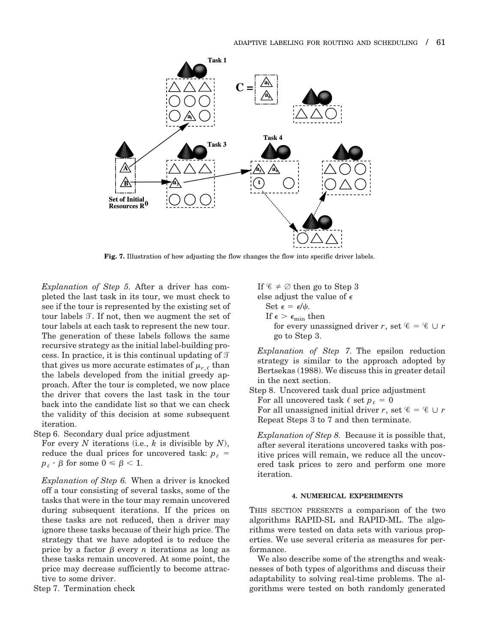

**Fig. 7.** Illustration of how adjusting the flow changes the flow into specific driver labels.

*Explanation of Step 5.* After a driver has completed the last task in its tour, we must check to see if the tour is represented by the existing set of tour labels  $\mathcal{T}$ . If not, then we augment the set of tour labels at each task to represent the new tour. The generation of these labels follows the same recursive strategy as the initial label-building process. In practice, it is this continual updating of  $\mathcal T$ that gives us more accurate estimates of  $\mu_{r,\,\ell}$  than the labels developed from the initial greedy approach. After the tour is completed, we now place the driver that covers the last task in the tour back into the candidate list so that we can check the validity of this decision at some subsequent iteration.

Step 6. Secondary dual price adjustment

For every *N* iterations (i.e., *k* is divisible by *N*), reduce the dual prices for uncovered task:  $p_{\ell}$  =  $p_{\ell} \cdot \beta$  for some  $0 \leq \beta < 1$ .

*Explanation of Step 6.* When a driver is knocked off a tour consisting of several tasks, some of the tasks that were in the tour may remain uncovered during subsequent iterations. If the prices on these tasks are not reduced, then a driver may ignore these tasks because of their high price. The strategy that we have adopted is to reduce the price by a factor  $\beta$  every *n* iterations as long as these tasks remain uncovered. At some point, the price may decrease sufficiently to become attractive to some driver.

Step 7. Termination check

If  $\mathscr{C} \neq \emptyset$  then go to Step 3 else adjust the value of  $\epsilon$ Set  $\epsilon = \epsilon/\psi$ . If  $\epsilon > \epsilon_{\min}$  then

for every unassigned driver *r*, set  $\mathscr{C} = \mathscr{C} \cup r$ go to Step 3.

*Explanation of Step 7.* The epsilon reduction strategy is similar to the approach adopted by Bertsekas (1988). We discuss this in greater detail in the next section.

Step 8. Uncovered task dual price adjustment For all uncovered task  $\ell$  set  $p_{\ell} = 0$ For all unassigned initial driver *r*, set  $\mathscr{C} = \mathscr{C} \cup r$ Repeat Steps 3 to 7 and then terminate.

*Explanation of Step 8.* Because it is possible that, after several iterations uncovered tasks with positive prices will remain, we reduce all the uncovered task prices to zero and perform one more iteration.

### **4. NUMERICAL EXPERIMENTS**

THIS SECTION PRESENTS a comparison of the two algorithms RAPID-SL and RAPID-ML. The algorithms were tested on data sets with various properties. We use several criteria as measures for performance.

We also describe some of the strengths and weaknesses of both types of algorithms and discuss their adaptability to solving real-time problems. The algorithms were tested on both randomly generated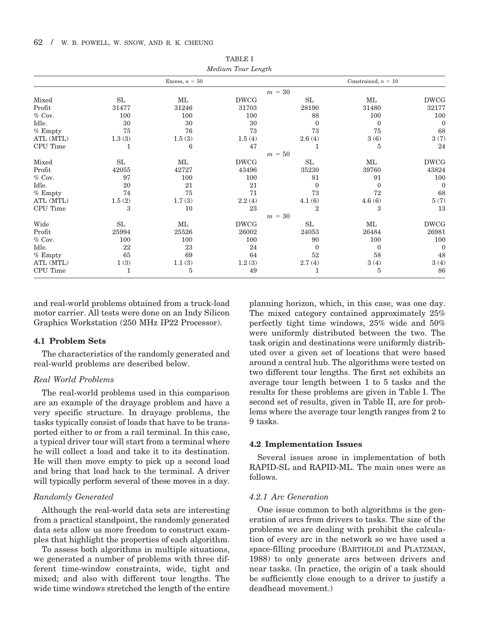|            |        |                  | Medium Tour Length |                |                       |              |
|------------|--------|------------------|--------------------|----------------|-----------------------|--------------|
|            |        | Excess, $n = 50$ |                    |                | Constrained, $n = 10$ |              |
|            |        |                  |                    | $m = 30$       |                       |              |
| Mixed      | SL     | ML               | <b>DWCG</b>        | SL             | ML                    | <b>DWCG</b>  |
| Profit     | 31477  | 31246            | 31703              | 28190          | 31480                 | 32177        |
| $%$ Cov.   | 100    | 100              | 100                | 88             | 100                   | 100          |
| Idle.      | 30     | 30               | 30                 | $\Omega$       | $\mathbf{0}$          | $\Omega$     |
| $\%$ Empty | 75     | 76               | 73                 | 73             | 75                    | 68           |
| ATL (MTL)  | 1.3(3) | 1.5(3)           | 1.5(4)             | 2.6(4)         | 3(6)                  | 3(7)         |
| CPU Time   |        | 6                | 47                 |                | 5                     | 24           |
|            |        |                  |                    | $m = 50$       |                       |              |
| Mixed      | SL     | ML               | <b>DWCG</b>        | SL             | ML                    | <b>DWCG</b>  |
| Profit     | 42055  | 42727            | 43496              | 35230          | 39760                 | 43824        |
| $%$ Cov.   | 97     | 100              | 100                | 81             | 91                    | 100          |
| Idle.      | 20     | 21               | 21                 | $\Omega$       | $\Omega$              | $\theta$     |
| $%$ Empty  | 74     | 75               | 71                 | 73             | 72                    | 68           |
| ATL (MTL)  | 1.5(2) | 1.7(3)           | 2.2(4)             | 4.1(6)         | 4.6(6)                | $5(7)$       |
| CPU Time   | 3      | 10               | 23                 | $\overline{2}$ | 3                     | 13           |
|            |        |                  |                    | $m = 30$       |                       |              |
| Wide       | SL     | ML               | <b>DWCG</b>        | SL             | ML                    | <b>DWCG</b>  |
| Profit     | 25994  | 25526            | 26002              | 24053          | 26484                 | 26981        |
| $%$ Cov.   | 100    | 100              | 100                | 90             | 100                   | 100          |
| Idle.      | 22     | 23               | 24                 | $\mathbf{0}$   | $\mathbf{0}$          | $\mathbf{0}$ |
| $\%$ Empty | 65     | 69               | 64                 | 52             | 58                    | 48           |
| ATL (MTL)  | 1(3)   | 1.1(3)           | 1.2(3)             | 2.7(4)         | 3(4)                  | 3(4)         |
| CPU Time   |        | 5                | 49                 |                | 5                     | 86           |

TABLE I

and real-world problems obtained from a truck-load motor carrier. All tests were done on an Indy Silicon Graphics Workstation (250 MHz IP22 Processor).

# **4.1 Problem Sets**

The characteristics of the randomly generated and real-world problems are described below.

# *Real World Problems*

The real-world problems used in this comparison are an example of the drayage problem and have a very specific structure. In drayage problems, the tasks typically consist of loads that have to be transported either to or from a rail terminal. In this case, a typical driver tour will start from a terminal where he will collect a load and take it to its destination. He will then move empty to pick up a second load and bring that load back to the terminal. A driver will typically perform several of these moves in a day.

## *Randomly Generated*

Although the real-world data sets are interesting from a practical standpoint, the randomly generated data sets allow us more freedom to construct examples that highlight the properties of each algorithm.

To assess both algorithms in multiple situations, we generated a number of problems with three different time-window constraints, wide, tight and mixed; and also with different tour lengths. The wide time windows stretched the length of the entire

planning horizon, which, in this case, was one day. The mixed category contained approximately 25% perfectly tight time windows, 25% wide and 50% were uniformly distributed between the two. The task origin and destinations were uniformly distributed over a given set of locations that were based around a central hub. The algorithms were tested on two different tour lengths. The first set exhibits an average tour length between 1 to 5 tasks and the results for these problems are given in Table I. The second set of results, given in Table II, are for problems where the average tour length ranges from 2 to 9 tasks.

#### **4.2 Implementation Issues**

Several issues arose in implementation of both RAPID-SL and RAPID-ML. The main ones were as follows.

# *4.2.1 Arc Generation*

One issue common to both algorithms is the generation of arcs from drivers to tasks. The size of the problems we are dealing with prohibit the calculation of every arc in the network so we have used a space-filling procedure (BARTHOLDI and PLATZMAN, 1988) to only generate arcs between drivers and near tasks. (In practice, the origin of a task should be sufficiently close enough to a driver to justify a deadhead movement.)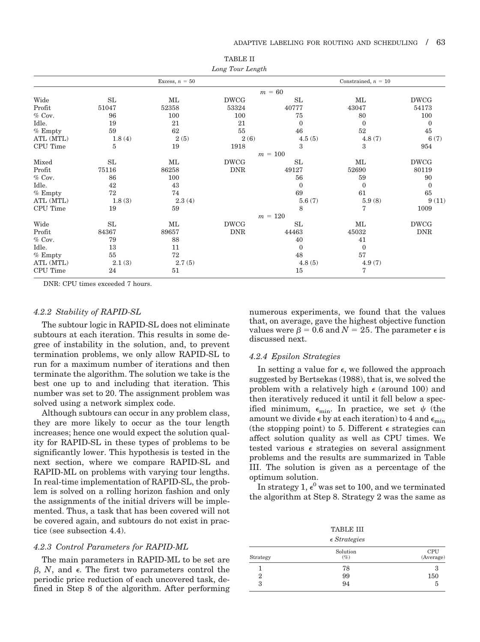|            |        |                  | Long Tour Length |              |                       |                  |
|------------|--------|------------------|------------------|--------------|-----------------------|------------------|
|            |        | Excess, $n = 50$ |                  |              | Constrained, $n = 10$ |                  |
|            |        |                  |                  | $m = 60$     |                       |                  |
| Wide       | SL     | ML               | <b>DWCG</b>      | SL           | ML                    | <b>DWCG</b>      |
| Profit     | 51047  | 52358            | 53324            | 40777        | 43047                 | 54173            |
| $%$ Cov.   | 96     | 100              | 100              | 75           | 80                    | 100              |
| Idle.      | 19     | 21               | 21               | $\mathbf{0}$ | $\mathbf{0}$          | $\boldsymbol{0}$ |
| $%$ Empty  | 59     | 62               | 55               | 46           | 52                    | 45               |
| ATL (MTL)  | 1.8(4) | 2(5)             | 2(6)             | 4.5(5)       | 4.8(7)                | 6(7)             |
| CPU Time   | 5      | 19               | 1918             | 3            | 3                     | 954              |
|            |        |                  |                  | $m = 100$    |                       |                  |
| Mixed      | SL     | ML               | <b>DWCG</b>      | SL           | ML                    | <b>DWCG</b>      |
| Profit     | 75116  | 86258            | <b>DNR</b>       | 49127        | 52690                 | 80119            |
| $%$ Cov.   | 86     | 100              |                  | 56           | 59                    | 90               |
| Idle.      | 42     | 43               |                  | $\bf{0}$     | $\mathbf{0}$          | $\boldsymbol{0}$ |
| $\%$ Empty | 72     | 74               |                  | 69           | 61                    | 65               |
| ATL (MTL)  | 1.8(3) | 2.3(4)           |                  | 5.6(7)       | 5.9(8)                | 9(11)            |
| CPU Time   | 19     | 59               |                  | 8            | 7                     | 1009             |
|            |        |                  |                  | $m = 120$    |                       |                  |
| Wide       | SL     | ML               | <b>DWCG</b>      | SL           | ML                    | <b>DWCG</b>      |
| Profit     | 84367  | 89657            | <b>DNR</b>       | 44463        | 45032                 | <b>DNR</b>       |
| $%$ Cov.   | 79     | 88               |                  | 40           | 41                    |                  |
| Idle.      | 13     | 11               |                  | $\mathbf{0}$ | $\boldsymbol{0}$      |                  |
| $%$ Empty  | 55     | 72               |                  | 48           | 57                    |                  |
| ATL (MTL)  | 2.1(3) | 2.7(5)           |                  | 4.8(5)       | 4.9(7)                |                  |
| CPU Time   | 24     | 51               |                  | 15           | 7                     |                  |

TABLE II *Long Tour Length*

DNR: CPU times exceeded 7 hours.

#### *4.2.2 Stability of RAPID-SL*

The subtour logic in RAPID-SL does not eliminate subtours at each iteration. This results in some degree of instability in the solution, and, to prevent termination problems, we only allow RAPID-SL to run for a maximum number of iterations and then terminate the algorithm. The solution we take is the best one up to and including that iteration. This number was set to 20. The assignment problem was solved using a network simplex code.

Although subtours can occur in any problem class, they are more likely to occur as the tour length increases; hence one would expect the solution quality for RAPID-SL in these types of problems to be significantly lower. This hypothesis is tested in the next section, where we compare RAPID-SL and RAPID-ML on problems with varying tour lengths. In real-time implementation of RAPID-SL, the problem is solved on a rolling horizon fashion and only the assignments of the initial drivers will be implemented. Thus, a task that has been covered will not be covered again, and subtours do not exist in practice (see subsection 4.4).

## *4.2.3 Control Parameters for RAPID-ML*

The main parameters in RAPID-ML to be set are  $\beta$ , *N*, and  $\epsilon$ . The first two parameters control the periodic price reduction of each uncovered task, defined in Step 8 of the algorithm. After performing numerous experiments, we found that the values that, on average, gave the highest objective function values were  $\beta = 0.6$  and  $N = 25$ . The parameter  $\epsilon$  is discussed next.

#### *4.2.4 Epsilon Strategies*

In setting a value for  $\epsilon$ , we followed the approach suggested by Bertsekas (1988), that is, we solved the problem with a relatively high  $\epsilon$  (around 100) and then iteratively reduced it until it fell below a specified minimum,  $\epsilon_{\min}$ . In practice, we set  $\psi$  (the amount we divide  $\epsilon$  by at each iteration) to 4 and  $\epsilon_{\min}$ (the stopping point) to 5. Different  $\epsilon$  strategies can affect solution quality as well as CPU times. We tested various  $\epsilon$  strategies on several assignment problems and the results are summarized in Table III. The solution is given as a percentage of the optimum solution.

In strategy 1,  $\epsilon^0$  was set to 100, and we terminated the algorithm at Step 8. Strategy 2 was the same as

TABLE III *Strategies*

|          | $\sim$ $\sim$ $\sim$ $\sim$ $\sim$ $\sim$ |                         |
|----------|-------------------------------------------|-------------------------|
| Strategy | Solution<br>$(\%)$                        | <b>CPU</b><br>(Average) |
|          | 78                                        |                         |
| 2        | 99                                        | 150                     |
| 3        | 94                                        | Э                       |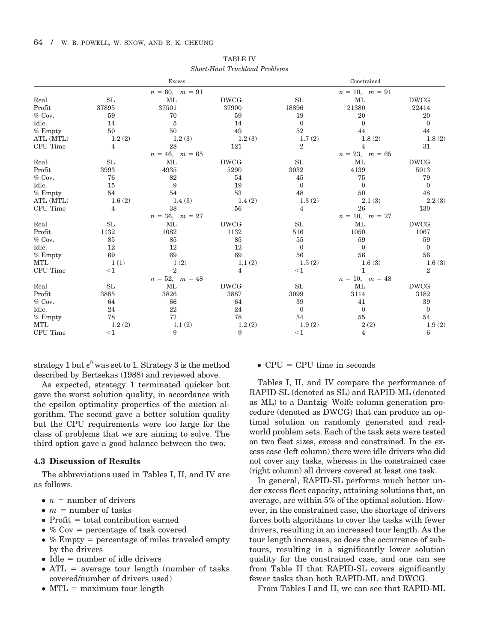|            |                | Excess              |                |                  | Constrained         |                  |
|------------|----------------|---------------------|----------------|------------------|---------------------|------------------|
|            |                | $n = 60, m = 91$    |                |                  | $n = 10, m = 91$    |                  |
| Real       | SL             | ML                  | <b>DWCG</b>    | SL               | ML                  | <b>DWCG</b>      |
| Profit     | 37895          | 37501               | 37900          | 18896            | 21380               | 22414            |
| % Cov.     | 59             | 70                  | 59             | 19               | 20                  | 20               |
| Idle.      | 14             | 5                   | 14             | $\mathbf{0}$     | $\mathbf{0}$        | $\mathbf{0}$     |
| $\%$ Empty | 50             | 50                  | 49             | 52               | 44                  | 44               |
| ATL (MTL)  | 1.2(2)         | 1.2(3)              | 1.2(3)         | 1.7(2)           | 1.8(2)              | 1.8(2)           |
| CPU Time   | 4              | 28                  | 121            | $\overline{2}$   | $\overline{4}$      | 31               |
|            |                | $n = 46$ , $m = 65$ |                |                  | $n = 23$ , $m = 65$ |                  |
| Real       | SL             | ML                  | <b>DWCG</b>    | <b>SL</b>        | ML                  | <b>DWCG</b>      |
| Profit     | 3993           | 4935                | 5290           | 3032             | 4139                | 5013             |
| % Cov.     | 76             | 82                  | 54             | 45               | 75                  | 79               |
| Idle.      | 15             | 9                   | 19             | $\mathbf{0}$     | $\mathbf{0}$        | $\mathbf{0}$     |
| $%$ Empty  | 54             | 54                  | 53             | 48               | 50                  | 48               |
| ATL (MTL)  | 1.6(2)         | 1.4(3)              | 1.4(2)         | 1.3(2)           | 2.1(3)              | 2.2(3)           |
| CPU Time   | $\overline{4}$ | 38                  | 56             | $\overline{4}$   | 26                  | 130              |
|            |                | $n = 36$ , $m = 27$ |                |                  | $n = 10, m = 27$    |                  |
| Real       | SL             | ML                  | <b>DWCG</b>    | SL               | ML                  | <b>DWCG</b>      |
| Profit     | 1132           | 1082                | 1132           | 516              | 1050                | 1067             |
| % Cov.     | 85             | 85                  | 85             | 55               | 59                  | 59               |
| Idle.      | 12             | 12                  | 12             | $\boldsymbol{0}$ | $\mathbf{0}$        | $\boldsymbol{0}$ |
| $\%$ Empty | 69             | 69                  | 69             | 56               | 56                  | 56               |
| <b>MTL</b> | 1(1)           | 1(2)                | 1.1(2)         | 1.5(2)           | 1.6(3)              | 1.6(3)           |
| CPU Time   | $<$ 1          | $\overline{2}$      | $\overline{4}$ | $<\!1$           | 1                   | $\overline{2}$   |
|            |                | $n = 52$ , $m = 48$ |                |                  | $n = 10, m = 48$    |                  |
| Real       | SL             | ML                  | <b>DWCG</b>    | SL               | ML                  | <b>DWCG</b>      |
| Profit     | 3885           | 3826                | 3887           | 3099             | 3114                | 3182             |
| $%$ Cov.   | 64             | 66                  | 64             | 39               | 41                  | $39\,$           |
| Idle.      | 24             | 22                  | 24             | $\boldsymbol{0}$ | $\mathbf{0}$        | $\boldsymbol{0}$ |
| $\%$ Empty | 78             | 77                  | 78             | 54               | $55\,$              | 54               |
| <b>MTL</b> | 1.2(2)         | 1.1(2)              | 1.2(2)         | 1.9(2)           | 2(2)                | 1.9(2)           |
| CPU Time   | $<$ 1          | 9                   | 9              | $<$ 1            | $\overline{4}$      | 6                |

TABLE IV *Short-Haul Truckload Problems*

strategy 1 but  $\epsilon^0$  was set to 1. Strategy 3 is the method described by Bertsekas (1988) and reviewed above.

As expected, strategy 1 terminated quicker but gave the worst solution quality, in accordance with the epsilon optimality properties of the auction algorithm. The second gave a better solution quality but the CPU requirements were too large for the class of problems that we are aiming to solve. The third option gave a good balance between the two.

# **4.3 Discussion of Results**

The abbreviations used in Tables I, II, and IV are as follows.

- $n =$  number of drivers
- $m =$  number of tasks
- Profit  $=$  total contribution earned
- $%$  Cov = percentage of task covered
- $%$  Empty = percentage of miles traveled empty by the drivers
- $\bullet$  Idle = number of idle drivers
- $\bullet$  ATL = average tour length (number of tasks covered/number of drivers used)
- $MTL =$  maximum tour length

 $\bullet$  CPU = CPU time in seconds

Tables I, II, and IV compare the performance of RAPID-SL (denoted as SL) and RAPID-ML (denoted as ML) to a Dantzig–Wolfe column generation procedure (denoted as DWCG) that can produce an optimal solution on randomly generated and realworld problem sets. Each of the task sets were tested on two fleet sizes, excess and constrained. In the excess case (left column) there were idle drivers who did not cover any tasks, whereas in the constrained case (right column) all drivers covered at least one task.

In general, RAPID-SL performs much better under excess fleet capacity, attaining solutions that, on average, are within 5% of the optimal solution. However, in the constrained case, the shortage of drivers forces both algorithms to cover the tasks with fewer drivers, resulting in an increased tour length. As the tour length increases, so does the occurrence of subtours, resulting in a significantly lower solution quality for the constrained case, and one can see from Table II that RAPID-SL covers significantly fewer tasks than both RAPID-ML and DWCG.

From Tables I and II, we can see that RAPID-ML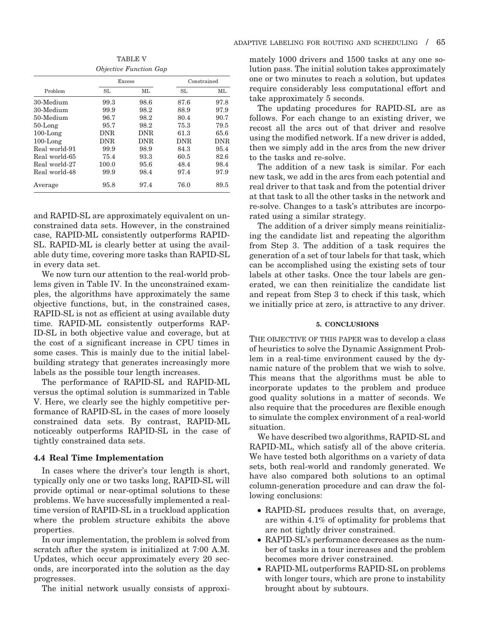TABLE V *Objective Function Gap*

|               | Excess     |            | Constrained |            |
|---------------|------------|------------|-------------|------------|
| Problem       | SL         | ML         | SL          | ML         |
| 30-Medium     | 99.3       | 98.6       | 87.6        | 97.8       |
| 30-Medium     | 99.9       | 98.2       | 88.9        | 97.9       |
| 50-Medium     | 96.7       | 98.2       | 80.4        | 90.7       |
| $50$ -Long    | 95.7       | 98.2       | 75.3        | 79.5       |
| $100$ -Long   | <b>DNR</b> | <b>DNR</b> | 61.3        | 65.6       |
| $100$ -Long   | <b>DNR</b> | <b>DNR</b> | <b>DNR</b>  | <b>DNR</b> |
| Real world-91 | 99.9       | 98.9       | 84.3        | 95.4       |
| Real world-65 | 75.4       | 93.3       | 60.5        | 82.6       |
| Real world-27 | 100.0      | 95.6       | 48.4        | 98.4       |
| Real world-48 | 99.9       | 98.4       | 97.4        | 97.9       |
| Average       | 95.8       | 97.4       | 76.0        | 89.5       |

and RAPID-SL are approximately equivalent on unconstrained data sets. However, in the constrained case, RAPID-ML consistently outperforms RAPID-SL. RAPID-ML is clearly better at using the available duty time, covering more tasks than RAPID-SL in every data set.

We now turn our attention to the real-world problems given in Table IV. In the unconstrained examples, the algorithms have approximately the same objective functions, but, in the constrained cases, RAPID-SL is not as efficient at using available duty time. RAPID-ML consistently outperforms RAP-ID-SL in both objective value and coverage, but at the cost of a significant increase in CPU times in some cases. This is mainly due to the initial labelbuilding strategy that generates increasingly more labels as the possible tour length increases.

The performance of RAPID-SL and RAPID-ML versus the optimal solution is summarized in Table V. Here, we clearly see the highly competitive performance of RAPID-SL in the cases of more loosely constrained data sets. By contrast, RAPID-ML noticeably outperforms RAPID-SL in the case of tightly constrained data sets.

# **4.4 Real Time Implementation**

In cases where the driver's tour length is short, typically only one or two tasks long, RAPID-SL will provide optimal or near-optimal solutions to these problems. We have successfully implemented a realtime version of RAPID-SL in a truckload application where the problem structure exhibits the above properties.

In our implementation, the problem is solved from scratch after the system is initialized at 7:00 A.M. Updates, which occur approximately every 20 seconds, are incorporated into the solution as the day progresses.

The initial network usually consists of approxi-

mately 1000 drivers and 1500 tasks at any one solution pass. The initial solution takes approximately one or two minutes to reach a solution, but updates require considerably less computational effort and take approximately 5 seconds.

The updating procedures for RAPID-SL are as follows. For each change to an existing driver, we recost all the arcs out of that driver and resolve using the modified network. If a new driver is added, then we simply add in the arcs from the new driver to the tasks and re-solve.

The addition of a new task is similar. For each new task, we add in the arcs from each potential and real driver to that task and from the potential driver at that task to all the other tasks in the network and re-solve. Changes to a task's attributes are incorporated using a similar strategy.

The addition of a driver simply means reinitializing the candidate list and repeating the algorithm from Step 3. The addition of a task requires the generation of a set of tour labels for that task, which can be accomplished using the existing sets of tour labels at other tasks. Once the tour labels are generated, we can then reinitialize the candidate list and repeat from Step 3 to check if this task, which we initially price at zero, is attractive to any driver.

## **5. CONCLUSIONS**

THE OBJECTIVE OF THIS PAPER was to develop a class of heuristics to solve the Dynamic Assignment Problem in a real-time environment caused by the dynamic nature of the problem that we wish to solve. This means that the algorithms must be able to incorporate updates to the problem and produce good quality solutions in a matter of seconds. We also require that the procedures are flexible enough to simulate the complex environment of a real-world situation.

We have described two algorithms, RAPID-SL and RAPID-ML, which satisfy all of the above criteria. We have tested both algorithms on a variety of data sets, both real-world and randomly generated. We have also compared both solutions to an optimal column-generation procedure and can draw the following conclusions:

- RAPID-SL produces results that, on average, are within 4.1% of optimality for problems that are not tightly driver constrained.
- RAPID-SL's performance decreases as the number of tasks in a tour increases and the problem becomes more driver constrained.
- RAPID-ML outperforms RAPID-SL on problems with longer tours, which are prone to instability brought about by subtours.